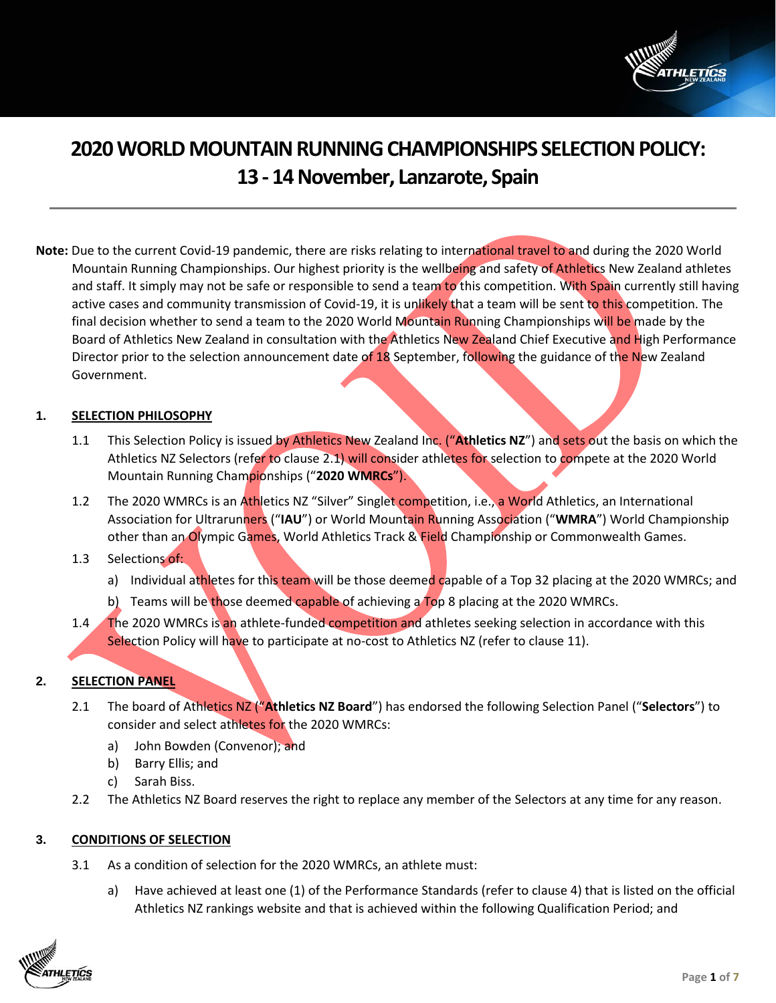

# **2020WORLD MOUNTAIN RUNNING CHAMPIONSHIPS SELECTION POLICY: 13 - 14November, Lanzarote, Spain**

**Note:** Due to the current Covid-19 pandemic, there are risks relating to international travel to and during the 2020 World Mountain Running Championships. Our highest priority is the wellbeing and safety of Athletics New Zealand athletes and staff. It simply may not be safe or responsible to send a team to this competition. With Spain currently still having active cases and community transmission of Covid-19, it is unlikely that a team will be sent to this competition. The final decision whether to send a team to the 2020 World Mountain Running Championships will be made by the Board of Athletics New Zealand in consultation with the Athletics New Zealand Chief Executive and High Performance Director prior to the selection announcement date of 18 September, following the guidance of the New Zealand Government.

# **1. SELECTION PHILOSOPHY**

- 1.1 This Selection Policy is issued by Athletics New Zealand Inc. ("**Athletics NZ**") and sets out the basis on which the Athletics NZ Selectors (refer to clause 2.1) will consider athletes for selection to compete at the 2020 World Mountain Running Championships ("**2020 WMRCs**").
- 1.2 The 2020 WMRCs is an Athletics NZ "Silver" Singlet competition, i.e., a World Athletics, an International Association for Ultrarunners ("**IAU**") or World Mountain Running Association ("**WMRA**") World Championship other than an Olympic Games, World Athletics Track & Field Championship or Commonwealth Games.

# 1.3 Selections of:

- a) Individual athletes for this team will be those deemed capable of a Top 32 placing at the 2020 WMRCs; and
- b) Teams will be those deemed capable of achieving a Top 8 placing at the 2020 WMRCs.
- 1.4 The 2020 WMRCs is an athlete-funded competition and athletes seeking selection in accordance with this Selection Policy will have to participate at no-cost to Athletics NZ (refer to clause 11).

# **2. SELECTION PANEL**

- 2.1 The board of Athletics NZ ("**Athletics NZ Board**") has endorsed the following Selection Panel ("**Selectors**") to consider and select athletes for the 2020 WMRCs:
	- a) John Bowden (Convenor); and
	- b) Barry Ellis; and
	- c) Sarah Biss.
- 2.2 The Athletics NZ Board reserves the right to replace any member of the Selectors at any time for any reason.

#### **3. CONDITIONS OF SELECTION**

- 3.1 As a condition of selection for the 2020 WMRCs, an athlete must:
	- a) Have achieved at least one (1) of the Performance Standards (refer to clause 4) that is listed on the official Athletics NZ rankings website and that is achieved within the following Qualification Period; and

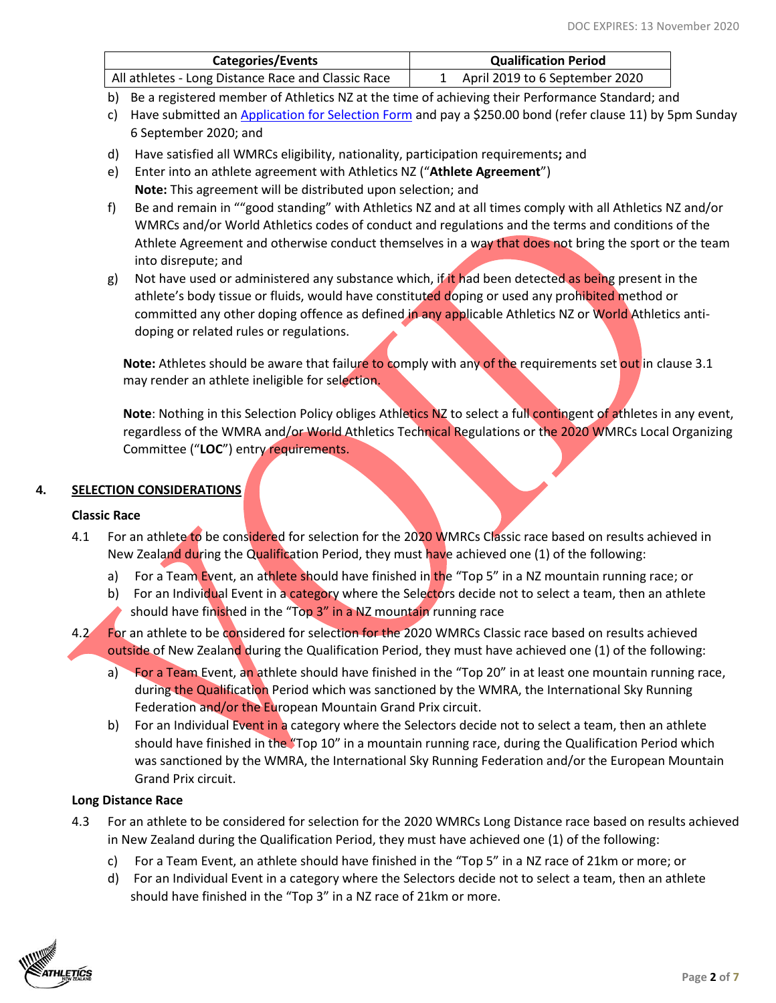| Categories/Events                                  | <b>Qualification Period</b>    |
|----------------------------------------------------|--------------------------------|
| All athletes - Long Distance Race and Classic Race | April 2019 to 6 September 2020 |

b) Be a registered member of Athletics NZ at the time of achieving their Performance Standard; and

- c) Have submitted an [Application for Selection Form](https://application-selection-form-hp.eventdesq.com/) and pay a \$250.00 bond (refer clause 11) by 5pm Sunday 6 September 2020; and
- d) Have satisfied all WMRCs eligibility, nationality, participation requirements**;** and
- e) Enter into an athlete agreement with Athletics NZ ("**Athlete Agreement**") **Note:** This agreement will be distributed upon selection; and
- f) Be and remain in ""good standing" with Athletics NZ and at all times comply with all Athletics NZ and/or WMRCs and/or World Athletics codes of conduct and regulations and the terms and conditions of the Athlete Agreement and otherwise conduct themselves in a way that does not bring the sport or the team into disrepute; and
- g) Not have used or administered any substance which, if it had been detected as being present in the athlete's body tissue or fluids, would have constituted doping or used any prohibited method or committed any other doping offence as defined in any applicable Athletics NZ or World Athletics antidoping or related rules or regulations.

**Note:** Athletes should be aware that failure to comply with any of the requirements set out in clause 3.1 may render an athlete ineligible for selection.

**Note**: Nothing in this Selection Policy obliges Athletics NZ to select a full contingent of athletes in any event, regardless of the WMRA and/or World Athletics Technical Regulations or the 2020 WMRCs Local Organizing Committee ("**LOC**") entry requirements.

# **4. SELECTION CONSIDERATIONS**

# **Classic Race**

- 4.1 For an athlete to be considered for selection for the 2020 WMRCs Classic race based on results achieved in New Zealand during the Qualification Period, they must have achieved one (1) of the following:
	- a) For a Team Event, an athlete should have finished in the "Top 5" in a NZ mountain running race; or
	- b) For an Individual Event in a category where the Selectors decide not to select a team, then an athlete should have finished in the "Top 3" in a NZ mountain running race
- 4.2 For an athlete to be considered for selection for the 2020 WMRCs Classic race based on results achieved outside of New Zealand during the Qualification Period, they must have achieved one (1) of the following:
	- a) For a Team Event, an athlete should have finished in the "Top 20" in at least one mountain running race, during the Qualification Period which was sanctioned by the WMRA, the International Sky Running Federation and/or the European Mountain Grand Prix circuit.
	- b) For an Individual Event in a category where the Selectors decide not to select a team, then an athlete should have finished in the "Top 10" in a mountain running race, during the Qualification Period which was sanctioned by the WMRA, the International Sky Running Federation and/or the European Mountain Grand Prix circuit.

## **Long Distance Race**

- 4.3 For an athlete to be considered for selection for the 2020 WMRCs Long Distance race based on results achieved in New Zealand during the Qualification Period, they must have achieved one (1) of the following:
	- c) For a Team Event, an athlete should have finished in the "Top 5" in a NZ race of 21km or more; or
	- d) For an Individual Event in a category where the Selectors decide not to select a team, then an athlete should have finished in the "Top 3" in a NZ race of 21km or more.

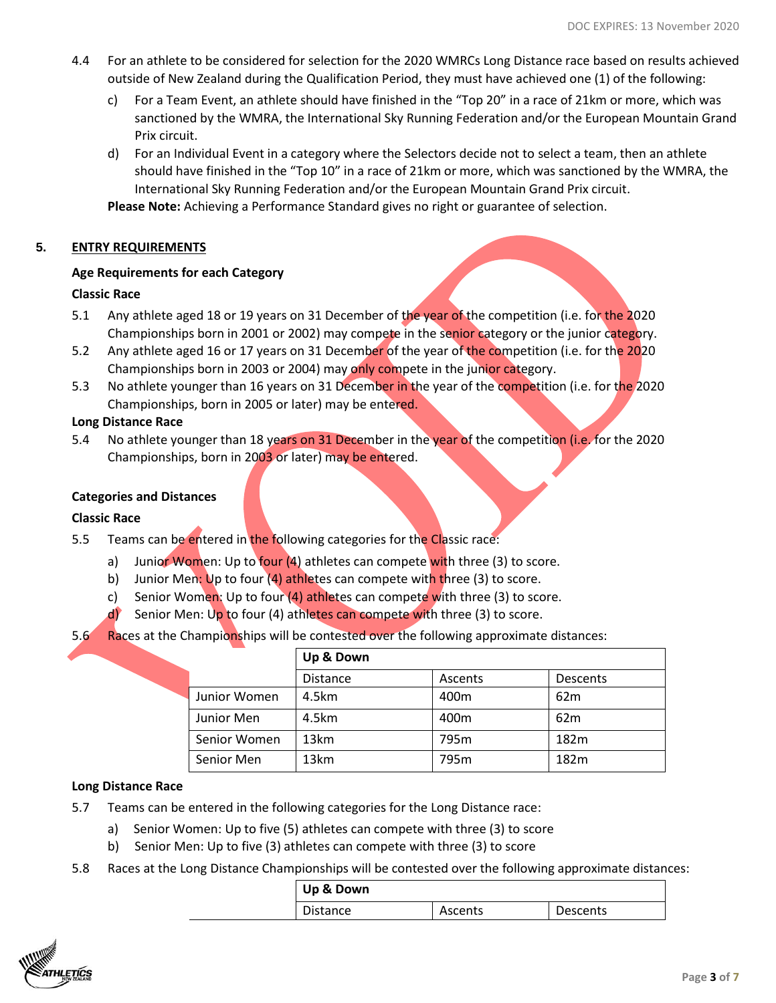- 4.4 For an athlete to be considered for selection for the 2020 WMRCs Long Distance race based on results achieved outside of New Zealand during the Qualification Period, they must have achieved one (1) of the following:
	- c) For a Team Event, an athlete should have finished in the "Top 20" in a race of 21km or more, which was sanctioned by the WMRA, the International Sky Running Federation and/or the European Mountain Grand Prix circuit.
	- d) For an Individual Event in a category where the Selectors decide not to select a team, then an athlete should have finished in the "Top 10" in a race of 21km or more, which was sanctioned by the WMRA, the International Sky Running Federation and/or the European Mountain Grand Prix circuit.

**Please Note:** Achieving a Performance Standard gives no right or guarantee of selection.

# **5. ENTRY REQUIREMENTS**

# **Age Requirements for each Category**

# **Classic Race**

- 5.1 Any athlete aged 18 or 19 years on 31 December of the year of the competition (i.e. for the 2020 Championships born in 2001 or 2002) may compete in the senior category or the junior category.
- 5.2 Any athlete aged 16 or 17 years on 31 December of the year of the competition (i.e. for the 2020 Championships born in 2003 or 2004) may only compete in the junior category.
- 5.3 No athlete younger than 16 years on 31 December in the year of the competition (i.e. for the 2020 Championships, born in 2005 or later) may be entered.

# **Long Distance Race**

5.4 No athlete younger than 18 years on 31 December in the year of the competition (i.e. for the 2020 Championships, born in 2003 or later) may be entered.

# **Categories and Distances**

# **Classic Race**

- 5.5 Teams can be entered in the following categories for the Classic race:
	- a) Junior Women: Up to four (4) athletes can compete with three (3) to score.
	- b) Junior Men: Up to four  $(4)$  athletes can compete with three (3) to score.
	- c) Senior Women: Up to four  $(4)$  athletes can compete with three  $(3)$  to score.
	- d) Senior Men: Up to four (4) athletes can compete with three (3) to score.
- 5.6 Races at the Championships will be contested over the following approximate distances:

|              | Up & Down        |         |                 |
|--------------|------------------|---------|-----------------|
|              | <b>Distance</b>  | Ascents | Descents        |
| Junior Women | 4.5km            | 400m    | 62 <sub>m</sub> |
| Junior Men   | 4.5km            | 400m    | 62 <sub>m</sub> |
| Senior Women | 13 <sub>km</sub> | 795m    | 182m            |
| Senior Men   | 13 <sub>km</sub> | 795m    | 182m            |

# **Long Distance Race**

- 5.7 Teams can be entered in the following categories for the Long Distance race:
	- a) Senior Women: Up to five (5) athletes can compete with three (3) to score
	- b) Senior Men: Up to five (3) athletes can compete with three (3) to score
- 5.8 Races at the Long Distance Championships will be contested over the following approximate distances:

| Up & Down       |         |          |
|-----------------|---------|----------|
| <b>Distance</b> | Ascents | Descents |

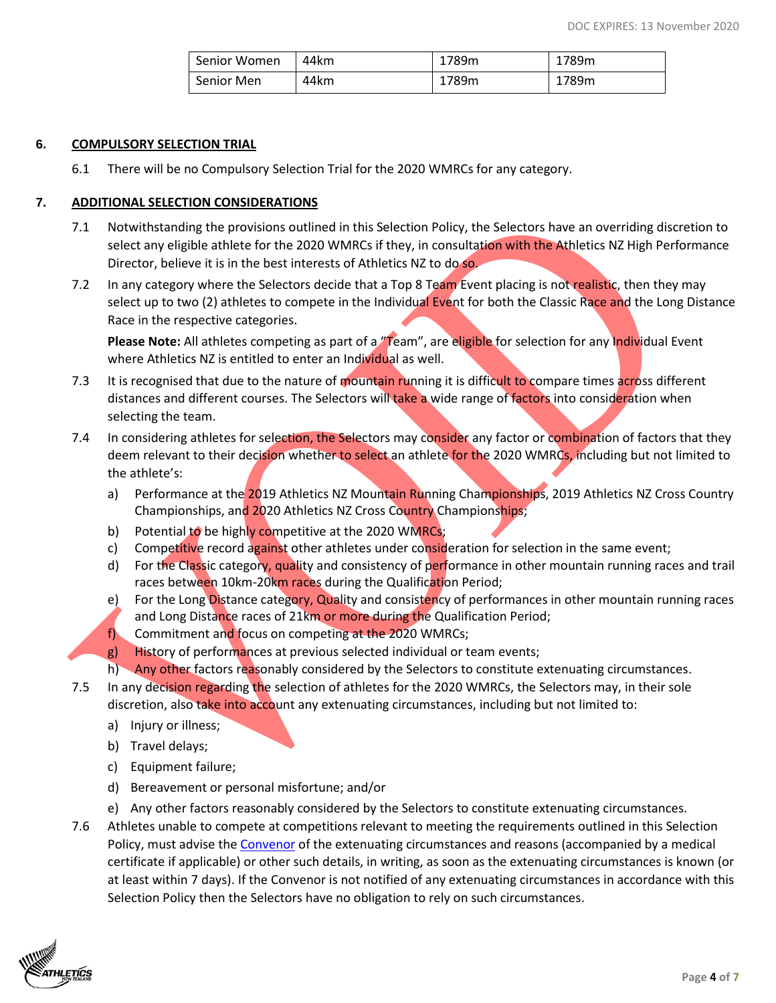| Senior Women | 44km | 1789m | 1789m |
|--------------|------|-------|-------|
| Senior Men   | 44km | 1789m | 1789m |

#### **6. COMPULSORY SELECTION TRIAL**

6.1 There will be no Compulsory Selection Trial for the 2020 WMRCs for any category.

#### **7. ADDITIONAL SELECTION CONSIDERATIONS**

- 7.1 Notwithstanding the provisions outlined in this Selection Policy, the Selectors have an overriding discretion to select any eligible athlete for the 2020 WMRCs if they, in consultation with the Athletics NZ High Performance Director, believe it is in the best interests of Athletics NZ to do so.
- 7.2 In any category where the Selectors decide that a Top 8 Team Event placing is not realistic, then they may select up to two (2) athletes to compete in the Individual Event for both the Classic Race and the Long Distance Race in the respective categories.

Please Note: All athletes competing as part of a "Team", are eligible for selection for any Individual Event where Athletics NZ is entitled to enter an Individual as well.

- 7.3 It is recognised that due to the nature of mountain running it is difficult to compare times across different distances and different courses. The Selectors will take a wide range of factors into consideration when selecting the team.
- 7.4 In considering athletes for selection, the Selectors may consider any factor or combination of factors that they deem relevant to their decision whether to select an athlete for the 2020 WMRCs, including but not limited to the athlete's:
	- a) Performance at the 2019 Athletics NZ Mountain Running Championships, 2019 Athletics NZ Cross Country Championships, and 2020 Athletics NZ Cross Country Championships;
	- b) Potential to be highly competitive at the 2020 WMRCs;
	- c) Competitive record against other athletes under consideration for selection in the same event;
	- d) For the Classic category, quality and consistency of performance in other mountain running races and trail races between 10km-20km races during the Qualification Period;
	- e) For the Long Distance category, Quality and consistency of performances in other mountain running races and Long Distance races of 21km or more during the Qualification Period;
	- f) Commitment and focus on competing at the 2020 WMRCs;
	- g) History of performances at previous selected individual or team events;
	- h) Any other factors reasonably considered by the Selectors to constitute extenuating circumstances.
- 7.5 In any decision regarding the selection of athletes for the 2020 WMRCs, the Selectors may, in their sole discretion, also take into account any extenuating circumstances, including but not limited to:
	- a) Injury or illness;
	- b) Travel delays;
	- c) Equipment failure;
	- d) Bereavement or personal misfortune; and/or
	- e) Any other factors reasonably considered by the Selectors to constitute extenuating circumstances.
- 7.6 Athletes unable to compete at competitions relevant to meeting the requirements outlined in this Selection Policy, must advise th[e Convenor](mailto:John@athletics.org.nz) of the extenuating circumstances and reasons (accompanied by a medical certificate if applicable) or other such details, in writing, as soon as the extenuating circumstances is known (or at least within 7 days). If the Convenor is not notified of any extenuating circumstances in accordance with this Selection Policy then the Selectors have no obligation to rely on such circumstances.

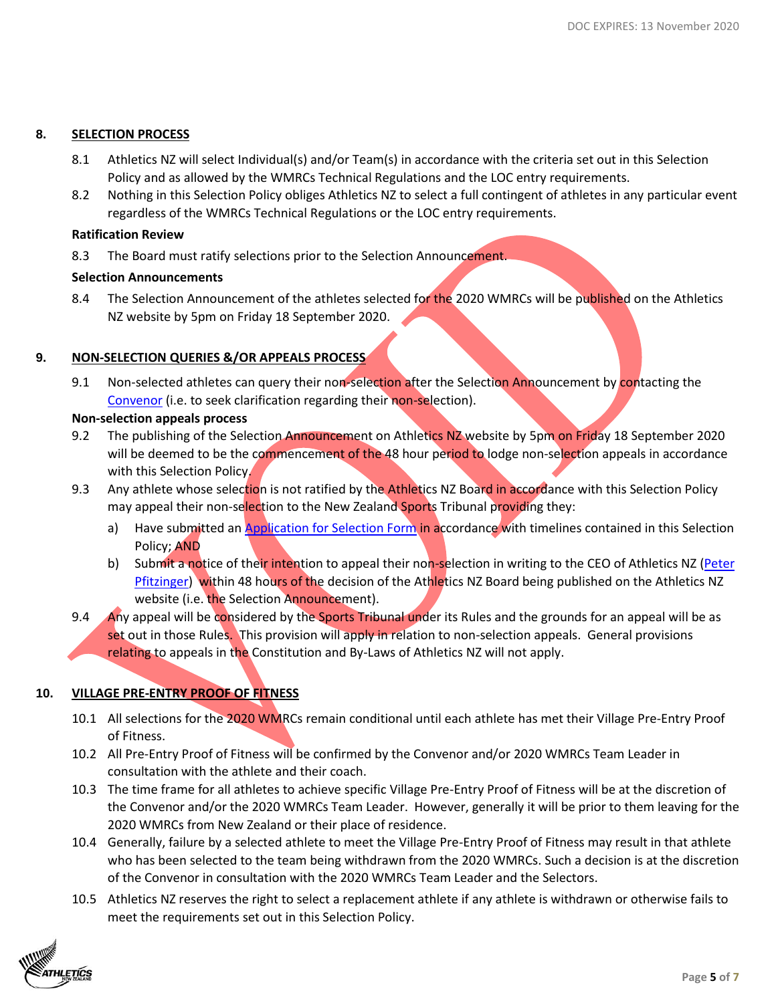# **8. SELECTION PROCESS**

- 8.1 Athletics NZ will select Individual(s) and/or Team(s) in accordance with the criteria set out in this Selection Policy and as allowed by the WMRCs Technical Regulations and the LOC entry requirements.
- 8.2 Nothing in this Selection Policy obliges Athletics NZ to select a full contingent of athletes in any particular event regardless of the WMRCs Technical Regulations or the LOC entry requirements.

#### **Ratification Review**

8.3 The Board must ratify selections prior to the Selection Announcement.

# **Selection Announcements**

8.4 The Selection Announcement of the athletes selected for the 2020 WMRCs will be published on the Athletics NZ website by 5pm on Friday 18 September 2020.

# **9. NON-SELECTION QUERIES &/OR APPEALS PROCESS**

9.1 Non-selected athletes can query their non-selection after the Selection Announcement by contacting the [Convenor](mailto:john@athletics.org.nz) (i.e. to seek clarification regarding their non-selection).

# **Non-selection appeals process**

- 9.2 The publishing of the Selection Announcement on Athletics NZ website by 5pm on Friday 18 September 2020 will be deemed to be the commencement of the 48 hour period to lodge non-selection appeals in accordance with this Selection Policy.
- 9.3 Any athlete whose selection is not ratified by the Athletics NZ Board in accordance with this Selection Policy may appeal their non-selection to the New Zealand Sports Tribunal providing they:
	- a) Have submitted an [Application for Selection Form](https://application-selection-form-hp.eventdesq.com/) in accordance with timelines contained in this Selection Policy; AND
	- b) Submit a notice of their intention to appeal their non-selection in writing to the CEO of Athletics NZ (Peter [Pfitzinger\)](mailto:peter@athletics.org.nz) within 48 hours of the decision of the Athletics NZ Board being published on the Athletics NZ website (i.e. the Selection Announcement).
- 9.4 Any appeal will be considered by the Sports Tribunal under its Rules and the grounds for an appeal will be as set out in those Rules. This provision will apply in relation to non-selection appeals. General provisions relating to appeals in the Constitution and By-Laws of Athletics NZ will not apply.

# **10. VILLAGE PRE-ENTRY PROOF OF FITNESS**

- 10.1 All selections for the 2020 WMRCs remain conditional until each athlete has met their Village Pre-Entry Proof of Fitness.
- 10.2 All Pre-Entry Proof of Fitness will be confirmed by the Convenor and/or 2020 WMRCs Team Leader in consultation with the athlete and their coach.
- 10.3 The time frame for all athletes to achieve specific Village Pre-Entry Proof of Fitness will be at the discretion of the Convenor and/or the 2020 WMRCs Team Leader. However, generally it will be prior to them leaving for the 2020 WMRCs from New Zealand or their place of residence.
- 10.4 Generally, failure by a selected athlete to meet the Village Pre-Entry Proof of Fitness may result in that athlete who has been selected to the team being withdrawn from the 2020 WMRCs. Such a decision is at the discretion of the Convenor in consultation with the 2020 WMRCs Team Leader and the Selectors.
- 10.5 Athletics NZ reserves the right to select a replacement athlete if any athlete is withdrawn or otherwise fails to meet the requirements set out in this Selection Policy.

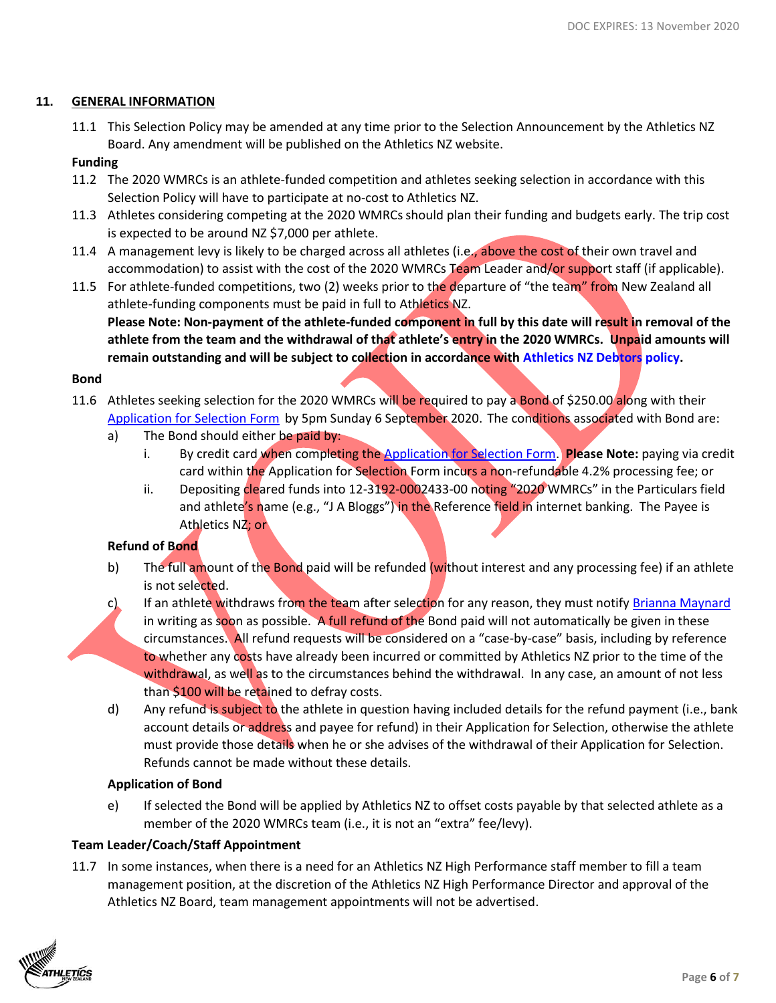## **11. GENERAL INFORMATION**

11.1 This Selection Policy may be amended at any time prior to the Selection Announcement by the Athletics NZ Board. Any amendment will be published on the Athletics NZ website.

## **Funding**

- 11.2 The 2020 WMRCs is an athlete-funded competition and athletes seeking selection in accordance with this Selection Policy will have to participate at no-cost to Athletics NZ.
- 11.3 Athletes considering competing at the 2020 WMRCs should plan their funding and budgets early. The trip cost is expected to be around NZ \$7,000 per athlete.
- 11.4 A management levy is likely to be charged across all athletes (i.e., above the cost of their own travel and accommodation) to assist with the cost of the 2020 WMRCs Team Leader and/or support staff (if applicable).
- 11.5 For athlete-funded competitions, two (2) weeks prior to the departure of "the team" from New Zealand all athlete-funding components must be paid in full to Athletics NZ. **Please Note: Non-payment of the athlete-funded component in full by this date will result in removal of the athlete from the team and the withdrawal of that athlete's entry in the 2020 WMRCs. Unpaid amounts will remain outstanding and will be subject to collection in accordance with [Athletics NZ Debtors policy.](http://www.athletics.org.nz/Portals/24/Files/Legal/ANZ%20Debtors%20Policy%20Nov%202014.pdf)**

#### **Bond**

- 11.6 Athletes seeking selection for the 2020 WMRCs will be required to pay a Bond of \$250.00 along with their [Application for Selection Form](https://application-selection-form-hp.eventdesq.com/) by 5pm Sunday 6 September 2020. The conditions associated with Bond are:
	- a) The Bond should either be paid by:
		- i. By credit card when completing the [Application for Selection Form.](https://application-selection-form-hp.eventdesq.com/) **Please Note:** paying via credit card within the Application for Selection Form incurs a non-refundable 4.2% processing fee; or
		- ii. Depositing cleared funds into 12-3192-0002433-00 noting "2020 WMRCs" in the Particulars field and athlete's name (e.g., "J A Bloggs") in the Reference field in internet banking. The Payee is Athletics NZ; or

# **Refund of Bond**

- b) The full amount of the Bond paid will be refunded (without interest and any processing fee) if an athlete is not selected.
- c) If an athlete withdraws from the team after selection for any reason, they must notify [Brianna](mailto:jess@athletics.org.nz) [Maynard](mailto:brianna@athletics.org.nz) in writing as soon as possible. A full refund of the Bond paid will not automatically be given in these circumstances. All refund requests will be considered on a "case-by-case" basis, including by reference to whether any costs have already been incurred or committed by Athletics NZ prior to the time of the withdrawal, as well as to the circumstances behind the withdrawal. In any case, an amount of not less than \$100 will be retained to defray costs.
- d) Any refund is subject to the athlete in question having included details for the refund payment (i.e., bank account details or address and payee for refund) in their Application for Selection, otherwise the athlete must provide those details when he or she advises of the withdrawal of their Application for Selection. Refunds cannot be made without these details.

# **Application of Bond**

e) If selected the Bond will be applied by Athletics NZ to offset costs payable by that selected athlete as a member of the 2020 WMRCs team (i.e., it is not an "extra" fee/levy).

# **Team Leader/Coach/Staff Appointment**

11.7 In some instances, when there is a need for an Athletics NZ High Performance staff member to fill a team management position, at the discretion of the Athletics NZ High Performance Director and approval of the Athletics NZ Board, team management appointments will not be advertised.